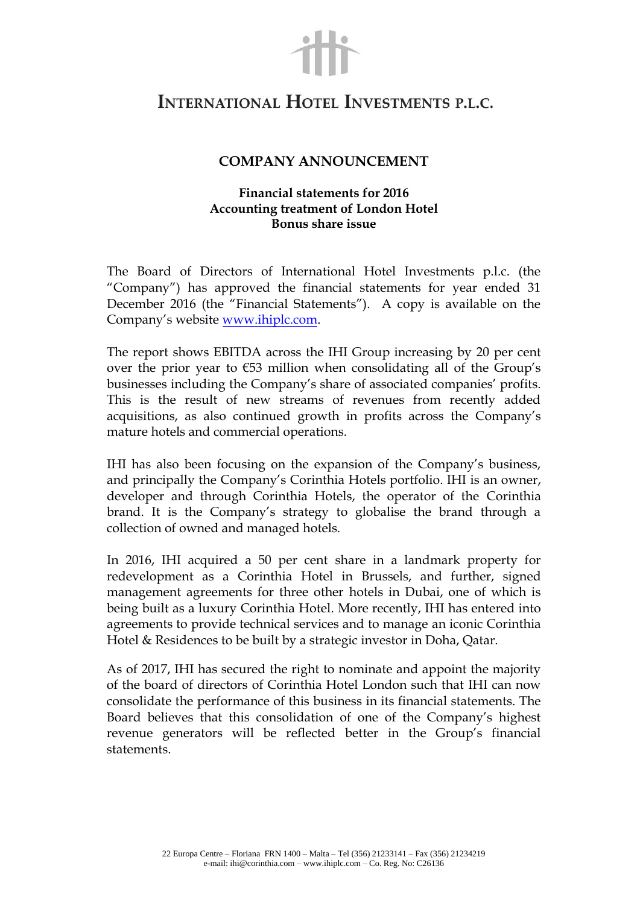## INTERNATIONAL HOTEL INVESTMENTS P.L.C.

## **COMPANY ANNOUNCEMENT**

## **Financial statements for 2016 Accounting treatment of London Hotel Bonus share issue**

The Board of Directors of International Hotel Investments p.l.c. (the "Company") has approved the financial statements for year ended 31 December 2016 (the "Financial Statements"). A copy is available on the Company's website [www.ihiplc.com.](http://www.ihiplc.com/)

The report shows EBITDA across the IHI Group increasing by 20 per cent over the prior year to  $\epsilon$ 53 million when consolidating all of the Group's businesses including the Company's share of associated companies' profits. This is the result of new streams of revenues from recently added acquisitions, as also continued growth in profits across the Company's mature hotels and commercial operations.

IHI has also been focusing on the expansion of the Company's business, and principally the Company's Corinthia Hotels portfolio. IHI is an owner, developer and through Corinthia Hotels, the operator of the Corinthia brand. It is the Company's strategy to globalise the brand through a collection of owned and managed hotels.

In 2016, IHI acquired a 50 per cent share in a landmark property for redevelopment as a Corinthia Hotel in Brussels, and further, signed management agreements for three other hotels in Dubai, one of which is being built as a luxury Corinthia Hotel. More recently, IHI has entered into agreements to provide technical services and to manage an iconic Corinthia Hotel & Residences to be built by a strategic investor in Doha, Qatar.

As of 2017, IHI has secured the right to nominate and appoint the majority of the board of directors of Corinthia Hotel London such that IHI can now consolidate the performance of this business in its financial statements. The Board believes that this consolidation of one of the Company's highest revenue generators will be reflected better in the Group's financial statements.